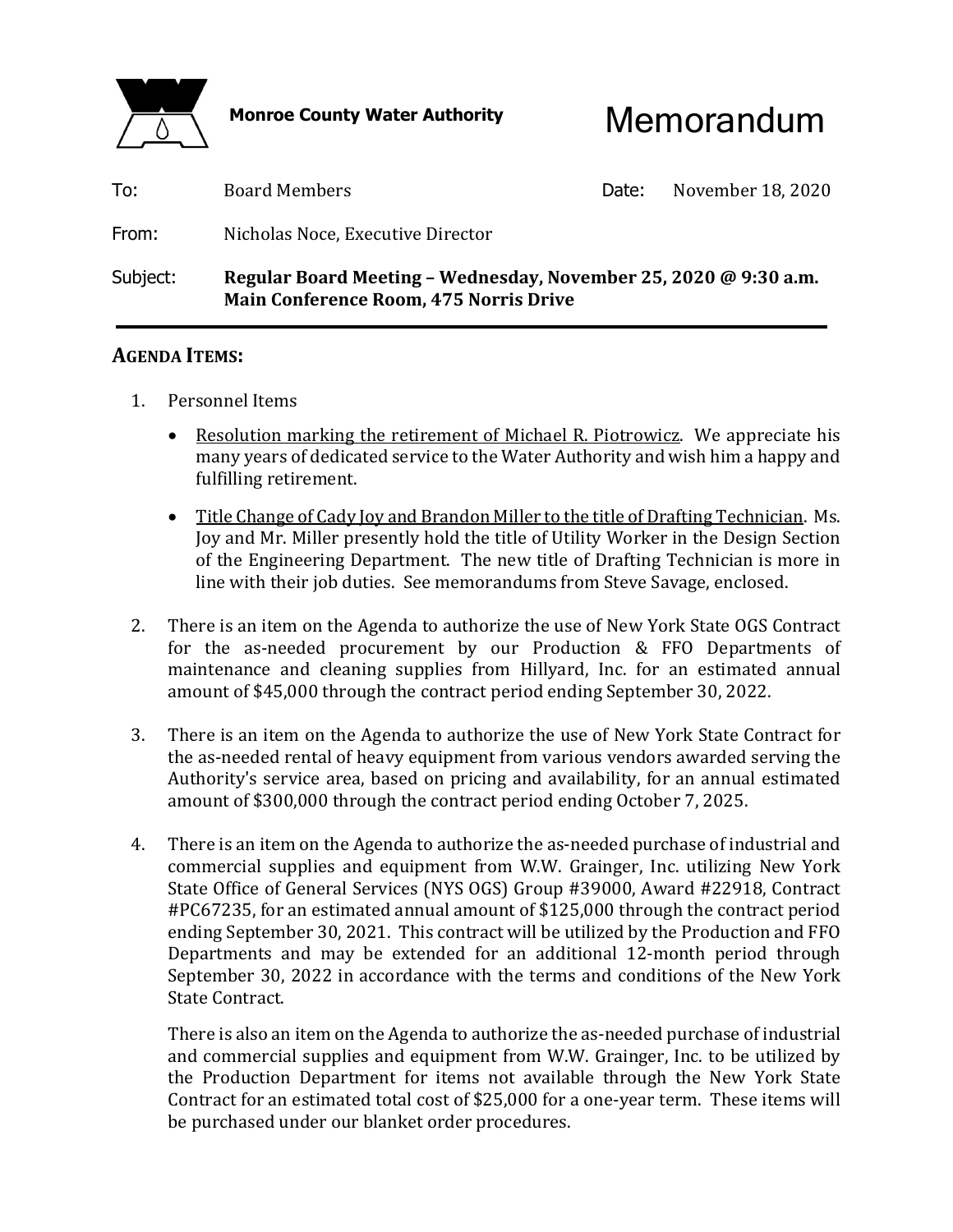

Monroe County Water Authority **Memorandum** 

| Subject: | Regular Board Meeting – Wednesday, November 25, 2020 @ 9:30 a.m.<br><b>Main Conference Room, 475 Norris Drive</b> |       |                   |
|----------|-------------------------------------------------------------------------------------------------------------------|-------|-------------------|
| From:    | Nicholas Noce, Executive Director                                                                                 |       |                   |
| To:      | <b>Board Members</b>                                                                                              | Date: | November 18, 2020 |

#### **AGENDA ITEMS:**

- 1. Personnel Items
	- Resolution marking the retirement of Michael R. Piotrowicz. We appreciate his many years of dedicated service to the Water Authority and wish him a happy and fulfilling retirement.
	- Title Change of Cady Joy and Brandon Miller to the title of Drafting Technician. Ms. Joy and Mr. Miller presently hold the title of Utility Worker in the Design Section of the Engineering Department. The new title of Drafting Technician is more in line with their job duties. See memorandums from Steve Savage, enclosed.
- 2. There is an item on the Agenda to authorize the use of New York State OGS Contract for the as-needed procurement by our Production & FFO Departments of maintenance and cleaning supplies from Hillyard, Inc. for an estimated annual amount of \$45,000 through the contract period ending September 30, 2022.
- 3. There is an item on the Agenda to authorize the use of New York State Contract for the as-needed rental of heavy equipment from various vendors awarded serving the Authority's service area, based on pricing and availability, for an annual estimated amount of \$300,000 through the contract period ending October 7, 2025.
- 4. There is an item on the Agenda to authorize the as-needed purchase of industrial and commercial supplies and equipment from W.W. Grainger, Inc. utilizing New York State Office of General Services (NYS OGS) Group #39000, Award #22918, Contract #PC67235, for an estimated annual amount of \$125,000 through the contract period ending September 30, 2021. This contract will be utilized by the Production and FFO Departments and may be extended for an additional 12-month period through September 30, 2022 in accordance with the terms and conditions of the New York State Contract.

 There is also an item on the Agenda to authorize the as-needed purchase of industrial and commercial supplies and equipment from W.W. Grainger, Inc. to be utilized by the Production Department for items not available through the New York State Contract for an estimated total cost of \$25,000 for a one-year term. These items will be purchased under our blanket order procedures.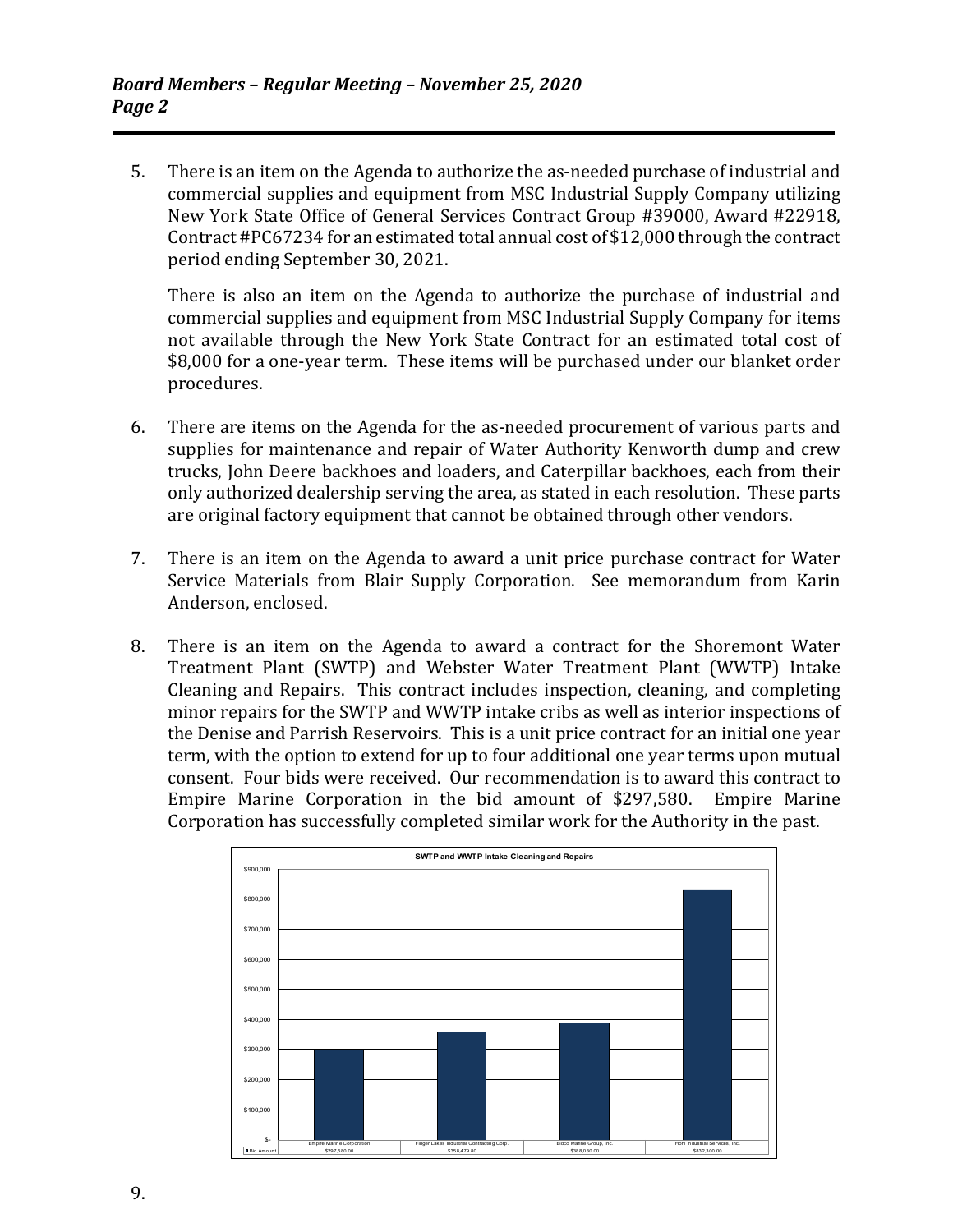5. There is an item on the Agenda to authorize the as-needed purchase of industrial and commercial supplies and equipment from MSC Industrial Supply Company utilizing New York State Office of General Services Contract Group #39000, Award #22918, Contract #PC67234 for an estimated total annual cost of \$12,000 through the contract period ending September 30, 2021.

 There is also an item on the Agenda to authorize the purchase of industrial and commercial supplies and equipment from MSC Industrial Supply Company for items not available through the New York State Contract for an estimated total cost of \$8,000 for a one-year term. These items will be purchased under our blanket order procedures.

- 6. There are items on the Agenda for the as-needed procurement of various parts and supplies for maintenance and repair of Water Authority Kenworth dump and crew trucks, John Deere backhoes and loaders, and Caterpillar backhoes, each from their only authorized dealership serving the area, as stated in each resolution. These parts are original factory equipment that cannot be obtained through other vendors.
- 7. There is an item on the Agenda to award a unit price purchase contract for Water Service Materials from Blair Supply Corporation. See memorandum from Karin Anderson, enclosed.
- 8. There is an item on the Agenda to award a contract for the Shoremont Water Treatment Plant (SWTP) and Webster Water Treatment Plant (WWTP) Intake Cleaning and Repairs. This contract includes inspection, cleaning, and completing minor repairs for the SWTP and WWTP intake cribs as well as interior inspections of the Denise and Parrish Reservoirs. This is a unit price contract for an initial one year term, with the option to extend for up to four additional one year terms upon mutual consent. Four bids were received. Our recommendation is to award this contract to Empire Marine Corporation in the bid amount of \$297,580. Empire Marine Corporation has successfully completed similar work for the Authority in the past.

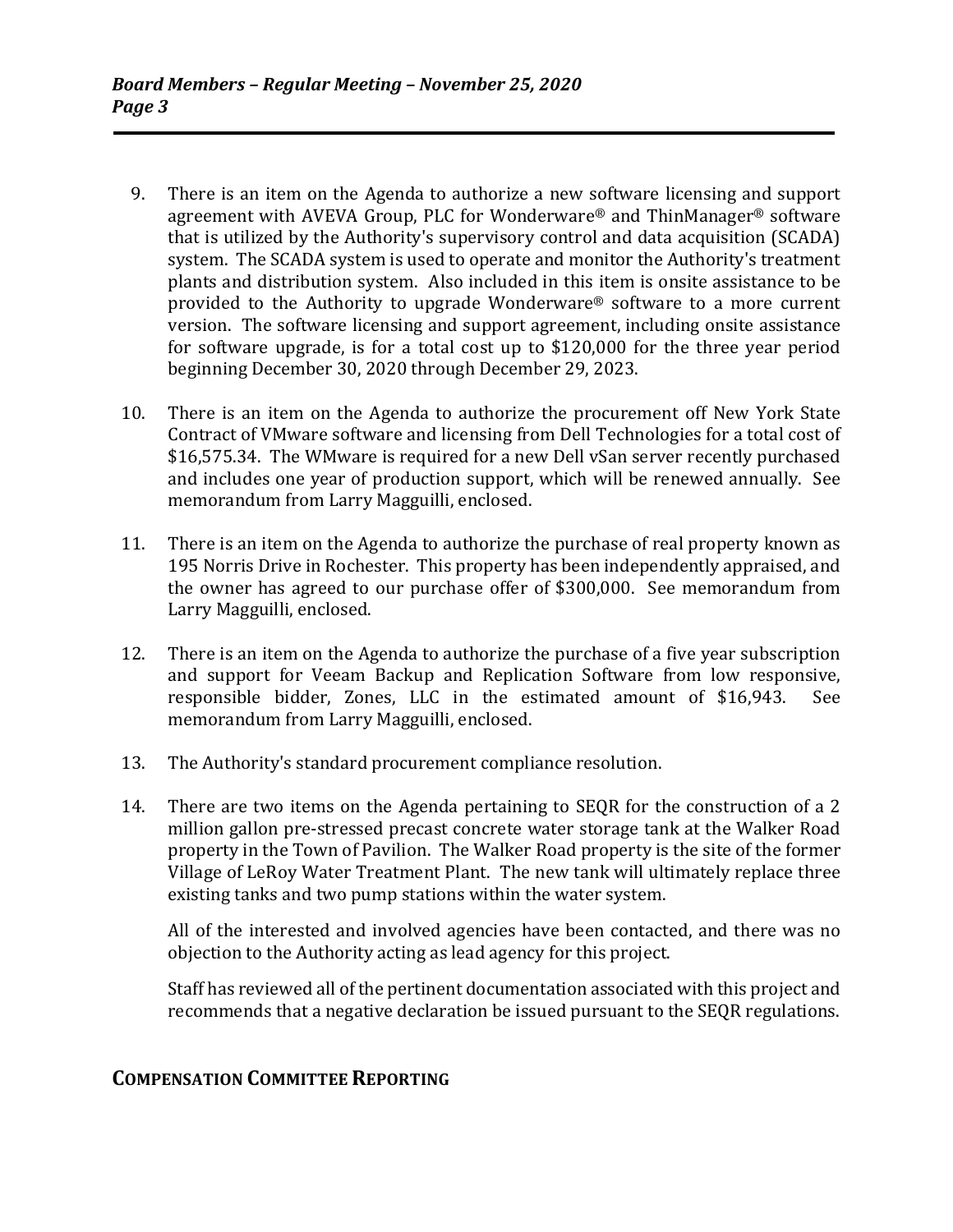- 9. There is an item on the Agenda to authorize a new software licensing and support agreement with AVEVA Group, PLC for Wonderware® and ThinManager® software that is utilized by the Authority's supervisory control and data acquisition (SCADA) system. The SCADA system is used to operate and monitor the Authority's treatment plants and distribution system. Also included in this item is onsite assistance to be provided to the Authority to upgrade Wonderware® software to a more current version. The software licensing and support agreement, including onsite assistance for software upgrade, is for a total cost up to \$120,000 for the three year period beginning December 30, 2020 through December 29, 2023.
- 10. There is an item on the Agenda to authorize the procurement off New York State Contract of VMware software and licensing from Dell Technologies for a total cost of \$16,575.34. The WMware is required for a new Dell vSan server recently purchased and includes one year of production support, which will be renewed annually. See memorandum from Larry Magguilli, enclosed.
- 11. There is an item on the Agenda to authorize the purchase of real property known as 195 Norris Drive in Rochester. This property has been independently appraised, and the owner has agreed to our purchase offer of \$300,000. See memorandum from Larry Magguilli, enclosed.
- 12. There is an item on the Agenda to authorize the purchase of a five year subscription and support for Veeam Backup and Replication Software from low responsive, responsible bidder, Zones, LLC in the estimated amount of \$16,943. See memorandum from Larry Magguilli, enclosed.
- 13. The Authority's standard procurement compliance resolution.
- 14. There are two items on the Agenda pertaining to SEQR for the construction of a 2 million gallon pre-stressed precast concrete water storage tank at the Walker Road property in the Town of Pavilion. The Walker Road property is the site of the former Village of LeRoy Water Treatment Plant. The new tank will ultimately replace three existing tanks and two pump stations within the water system.

 All of the interested and involved agencies have been contacted, and there was no objection to the Authority acting as lead agency for this project.

 Staff has reviewed all of the pertinent documentation associated with this project and recommends that a negative declaration be issued pursuant to the SEQR regulations.

### **COMPENSATION COMMITTEE REPORTING**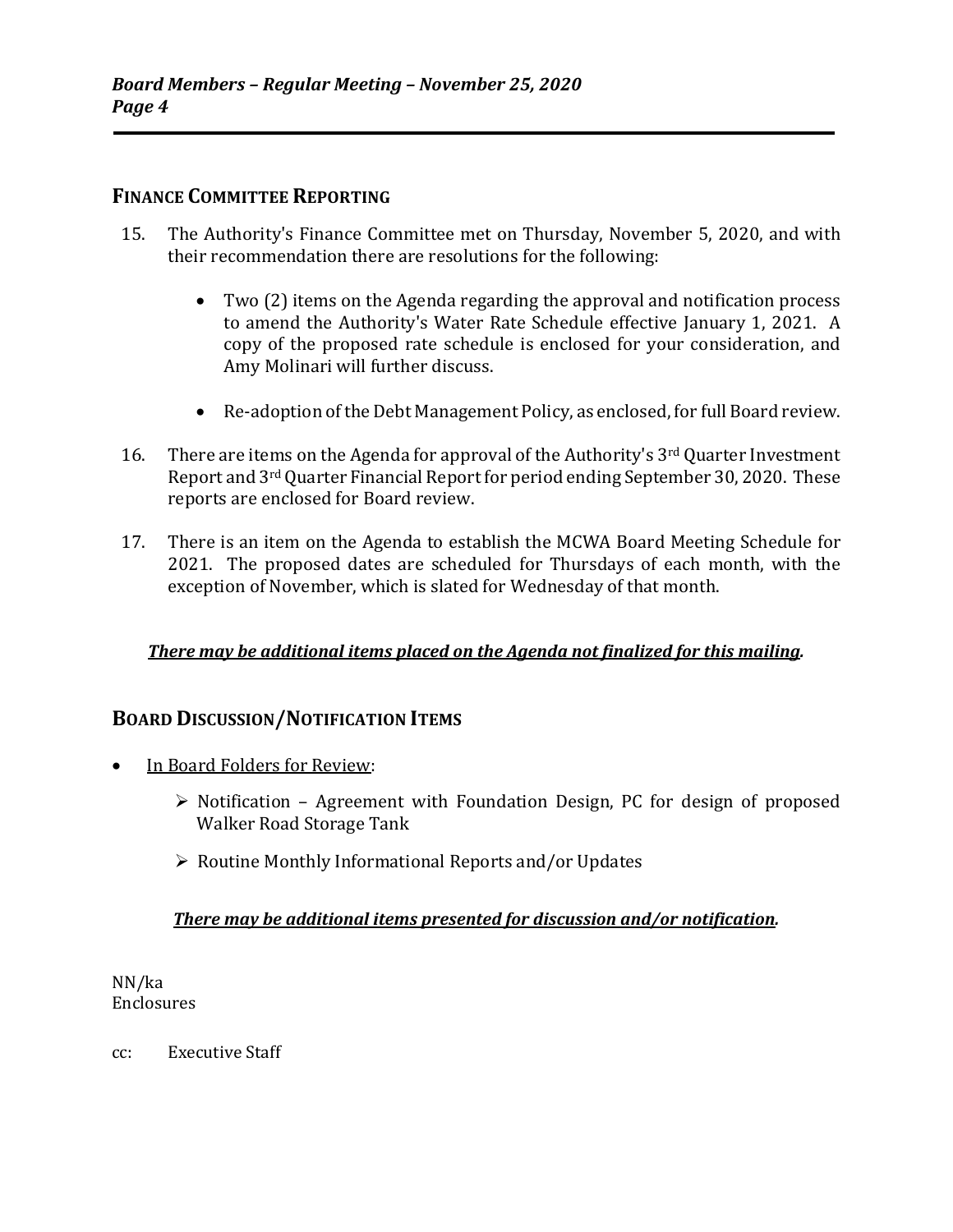### **FINANCE COMMITTEE REPORTING**

- 15. The Authority's Finance Committee met on Thursday, November 5, 2020, and with their recommendation there are resolutions for the following:
	- Two (2) items on the Agenda regarding the approval and notification process to amend the Authority's Water Rate Schedule effective January 1, 2021. A copy of the proposed rate schedule is enclosed for your consideration, and Amy Molinari will further discuss.
	- Re-adoption of the Debt Management Policy, as enclosed, for full Board review.
- 16. There are items on the Agenda for approval of the Authority's 3<sup>rd</sup> Quarter Investment Report and 3rd Quarter Financial Report for period ending September 30, 2020. These reports are enclosed for Board review.
- 17. There is an item on the Agenda to establish the MCWA Board Meeting Schedule for 2021. The proposed dates are scheduled for Thursdays of each month, with the exception of November, which is slated for Wednesday of that month.

#### *There may be additional items placed on the Agenda not finalized for this mailing.*

#### **BOARD DISCUSSION/NOTIFICATION ITEMS**

- In Board Folders for Review:
	- $\triangleright$  Notification Agreement with Foundation Design, PC for design of proposed Walker Road Storage Tank
	- $\triangleright$  Routine Monthly Informational Reports and/or Updates

#### *There may be additional items presented for discussion and/or notification.*

NN/ka Enclosures

cc: Executive Staff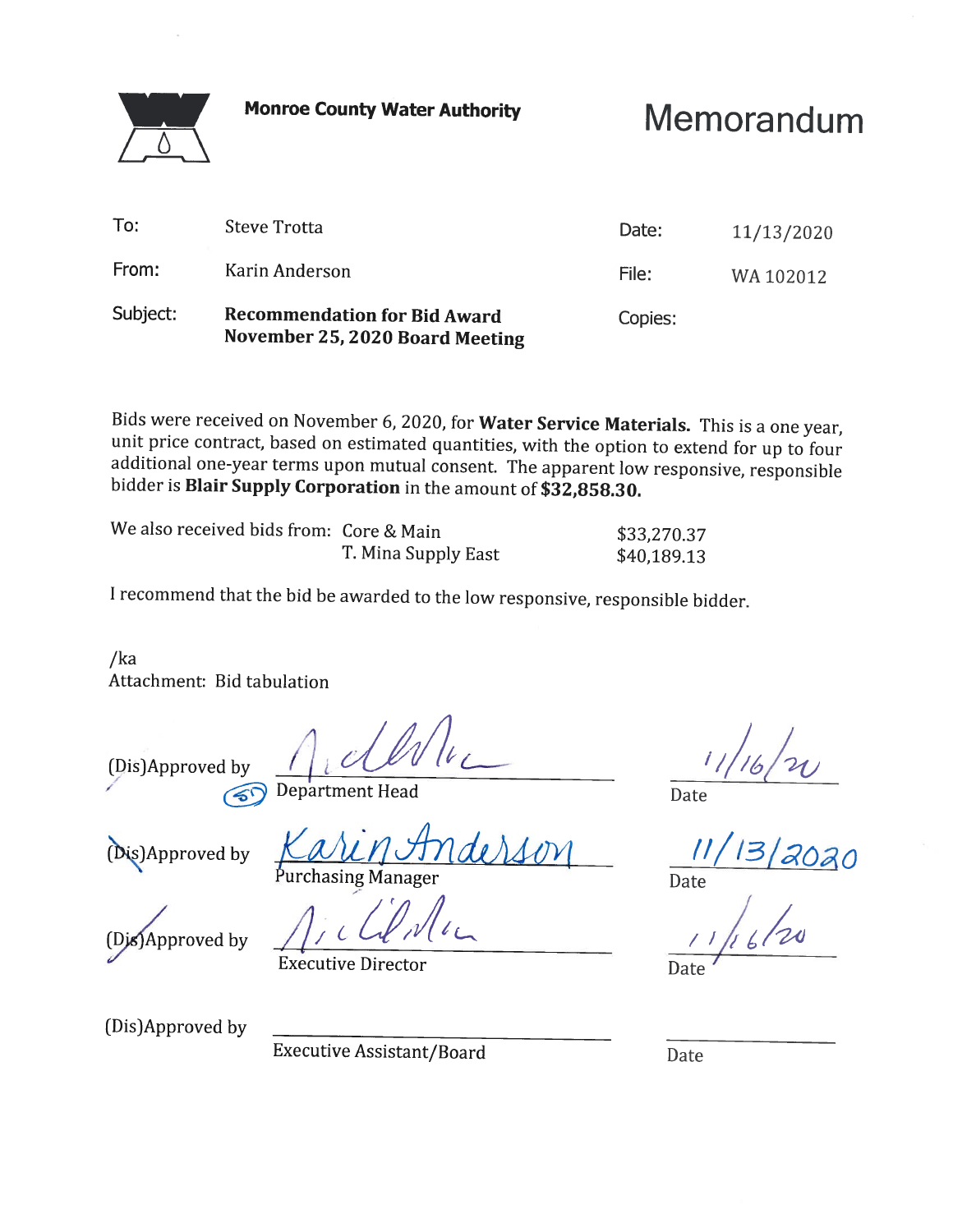**Monroe County Water Authority** 

# Memorandum

| From:    | Karin Anderson                                                         | Date:<br>File: | 11/13/2020<br>WA 102012 |
|----------|------------------------------------------------------------------------|----------------|-------------------------|
| Subject: | <b>Recommendation for Bid Award</b><br>November 25, 2020 Board Meeting | Copies:        |                         |

Bids were received on November 6, 2020, for Water Service Materials. This is a one year, unit price contract, based on estimated quantities, with the option to extend for up to four additional one-year terms upon mutual consent. The apparent low responsive, responsible bidder is Blair Supply Corporation in the amount of \$32,858.30.

| We also received bids from: Core & Main |                     | \$33,270.37 |
|-----------------------------------------|---------------------|-------------|
|                                         | T. Mina Supply East | \$40,189.13 |

I recommend that the bid be awarded to the low responsive, responsible bidder.

 $/ka$ Attachment: Bid tabulation

(Dis)Approved by

 $\langle \rangle$ 

Department Head

(Dis)Approved by

Purchasing Manager

(Dis)Approved by

**Executive Director** 

Date

3/2020

Date

(Dis)Approved by

**Executive Assistant/Board** 

Date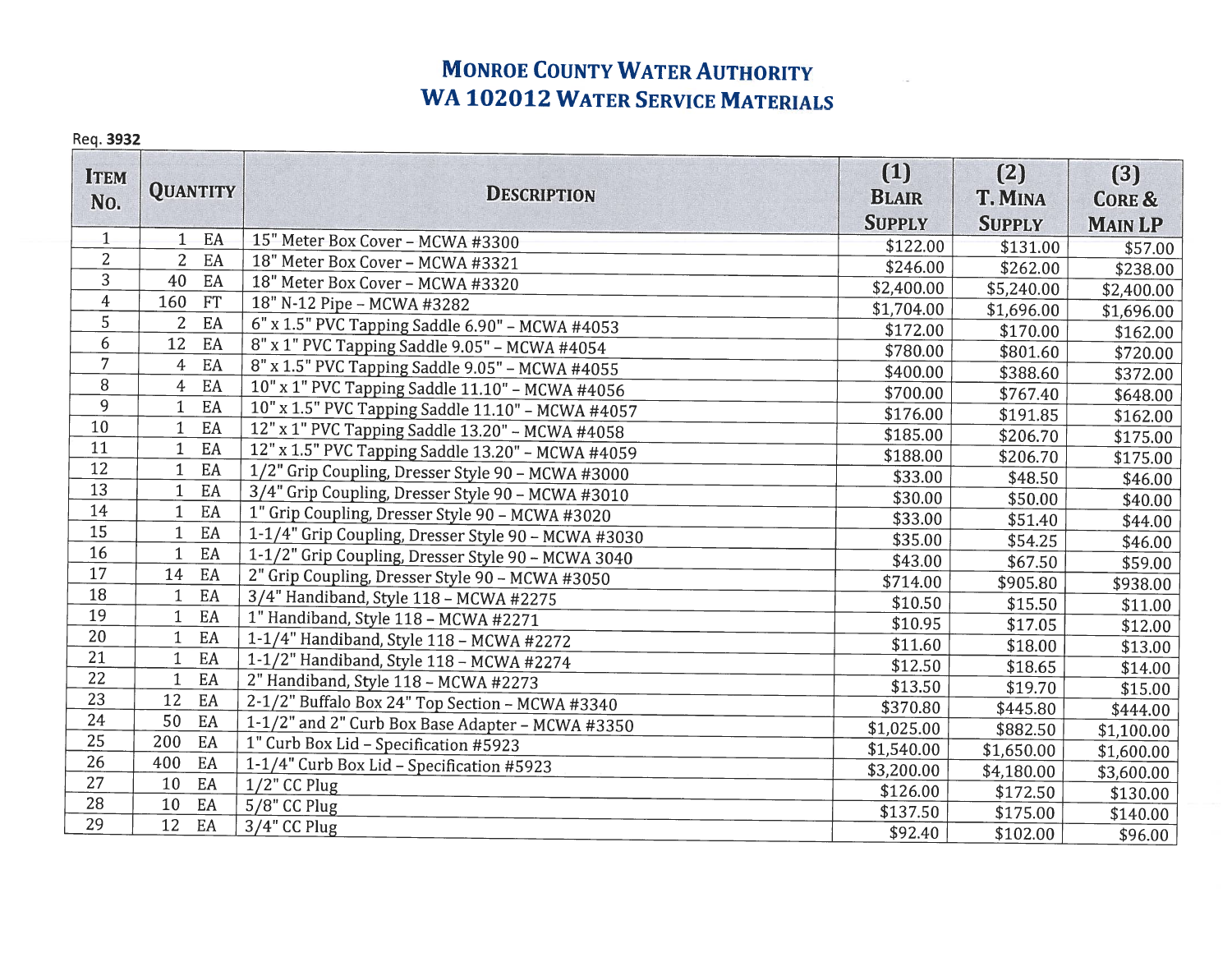## **MONROE COUNTY WATER AUTHORITY WA 102012 WATER SERVICE MATERIALS**

#### Req. 3932

| <b>ITEM</b><br>No. | <b>QUANTITY</b>          | <b>DESCRIPTION</b>                                  | (1)<br><b>BLAIR</b> | (2)<br><b>T. MINA</b> | (3)<br><b>CORE &amp;</b> |
|--------------------|--------------------------|-----------------------------------------------------|---------------------|-----------------------|--------------------------|
| $\mathbf{1}$       | EA<br>$\mathbf{1}$       | 15" Meter Box Cover - MCWA #3300                    | <b>SUPPLY</b>       | <b>SUPPLY</b>         | <b>MAIN LP</b>           |
| $\overline{2}$     | $\overline{2}$<br>EA     | 18" Meter Box Cover - MCWA #3321                    | \$122.00            | \$131.00              | \$57.00                  |
| 3                  | 40<br>EA                 | 18" Meter Box Cover - MCWA #3320                    | \$246.00            | \$262.00              | \$238.00                 |
| $\boldsymbol{4}$   | 160<br>FT                | 18" N-12 Pipe - MCWA #3282                          | \$2,400.00          | \$5,240.00            | \$2,400.00               |
| 5                  | EA<br>$\overline{2}$     |                                                     | \$1,704.00          | \$1,696.00            | \$1,696.00               |
| 6                  | 12<br>EA                 | 6" x 1.5" PVC Tapping Saddle 6.90" - MCWA #4053     | \$172.00            | \$170.00              | \$162.00                 |
| $\overline{7}$     | EA<br>4                  | 8" x 1" PVC Tapping Saddle 9.05" - MCWA #4054       | \$780.00            | \$801.60              | \$720.00                 |
| 8                  | EA<br>4                  | 8" x 1.5" PVC Tapping Saddle 9.05" - MCWA #4055     | \$400.00            | \$388.60              | \$372.00                 |
| 9                  | EA                       | 10" x 1" PVC Tapping Saddle 11.10" - MCWA #4056     | \$700.00            | \$767.40              | \$648.00                 |
| 10                 | $\mathbf{1}$<br>EA       | 10" x 1.5" PVC Tapping Saddle 11.10" - MCWA #4057   | \$176.00            | \$191.85              | \$162.00                 |
| 11                 | EA<br>$\mathbf{1}$       | 12" x 1" PVC Tapping Saddle 13.20" - MCWA #4058     | \$185.00            | \$206.70              | \$175.00                 |
| 12                 | EA<br>$\mathbf{1}$       | 12" x 1.5" PVC Tapping Saddle 13.20" - MCWA #4059   | \$188.00            | \$206.70              | \$175.00                 |
| 13                 | $\mathbf{1}$             | 1/2" Grip Coupling, Dresser Style 90 - MCWA #3000   | \$33.00             | \$48.50               | \$46.00                  |
| 14                 | EA<br>$\mathbf{1}$<br>EA | 3/4" Grip Coupling, Dresser Style 90 - MCWA #3010   | \$30.00             | \$50.00               | \$40.00                  |
| 15                 |                          | 1" Grip Coupling, Dresser Style 90 - MCWA #3020     | \$33.00             | \$51.40               | \$44.00                  |
| 16                 | $\mathbf{1}$<br>EA       | 1-1/4" Grip Coupling, Dresser Style 90 - MCWA #3030 | \$35.00             | \$54.25               | \$46.00                  |
| 17                 | EA<br>$\mathbf 1$        | 1-1/2" Grip Coupling, Dresser Style 90 - MCWA 3040  | \$43.00             | \$67.50               | \$59.00                  |
|                    | 14<br>EA                 | 2" Grip Coupling, Dresser Style 90 - MCWA #3050     | \$714.00            | \$905.80              | \$938.00                 |
| 18                 | EA<br>$\mathbf 1$        | 3/4" Handiband, Style 118 - MCWA #2275              | \$10.50             | \$15.50               | \$11.00                  |
| 19                 | EA<br>$\mathbf{1}$       | 1" Handiband, Style 118 - MCWA #2271                | \$10.95             | \$17.05               | \$12.00                  |
| 20                 | $\mathbf{1}$<br>EA       | 1-1/4" Handiband, Style 118 - MCWA #2272            | \$11.60             | \$18.00               | \$13.00                  |
| 21                 | $\mathbf{1}$<br>EA       | 1-1/2" Handiband, Style 118 - MCWA #2274            | \$12.50             | \$18.65               | \$14.00                  |
| 22                 | $\mathbf{1}$<br>EA       | 2" Handiband, Style 118 - MCWA #2273                | \$13.50             | \$19.70               | \$15.00                  |
| 23                 | EA<br>12                 | 2-1/2" Buffalo Box 24" Top Section - MCWA #3340     | \$370.80            | \$445.80              | \$444.00                 |
| 24                 | 50<br>EA                 | 1-1/2" and 2" Curb Box Base Adapter - MCWA #3350    | \$1,025.00          | \$882.50              | \$1,100.00               |
| 25                 | 200<br>EA                | 1" Curb Box Lid - Specification #5923               | \$1,540.00          | \$1,650.00            | \$1,600.00               |
| 26                 | 400<br>EA                | 1-1/4" Curb Box Lid - Specification #5923           | \$3,200.00          | \$4,180.00            | \$3,600.00               |
| 27                 | EA<br>10                 | $1/2$ " CC Plug                                     | \$126.00            | \$172.50              | \$130.00                 |
| 28                 | 10<br>EA                 | 5/8" CC Plug                                        | \$137.50            | \$175.00              | \$140.00                 |
| 29                 | 12<br>EA                 | $3/4$ " CC Plug                                     | \$92.40             | \$102.00              | \$96.00                  |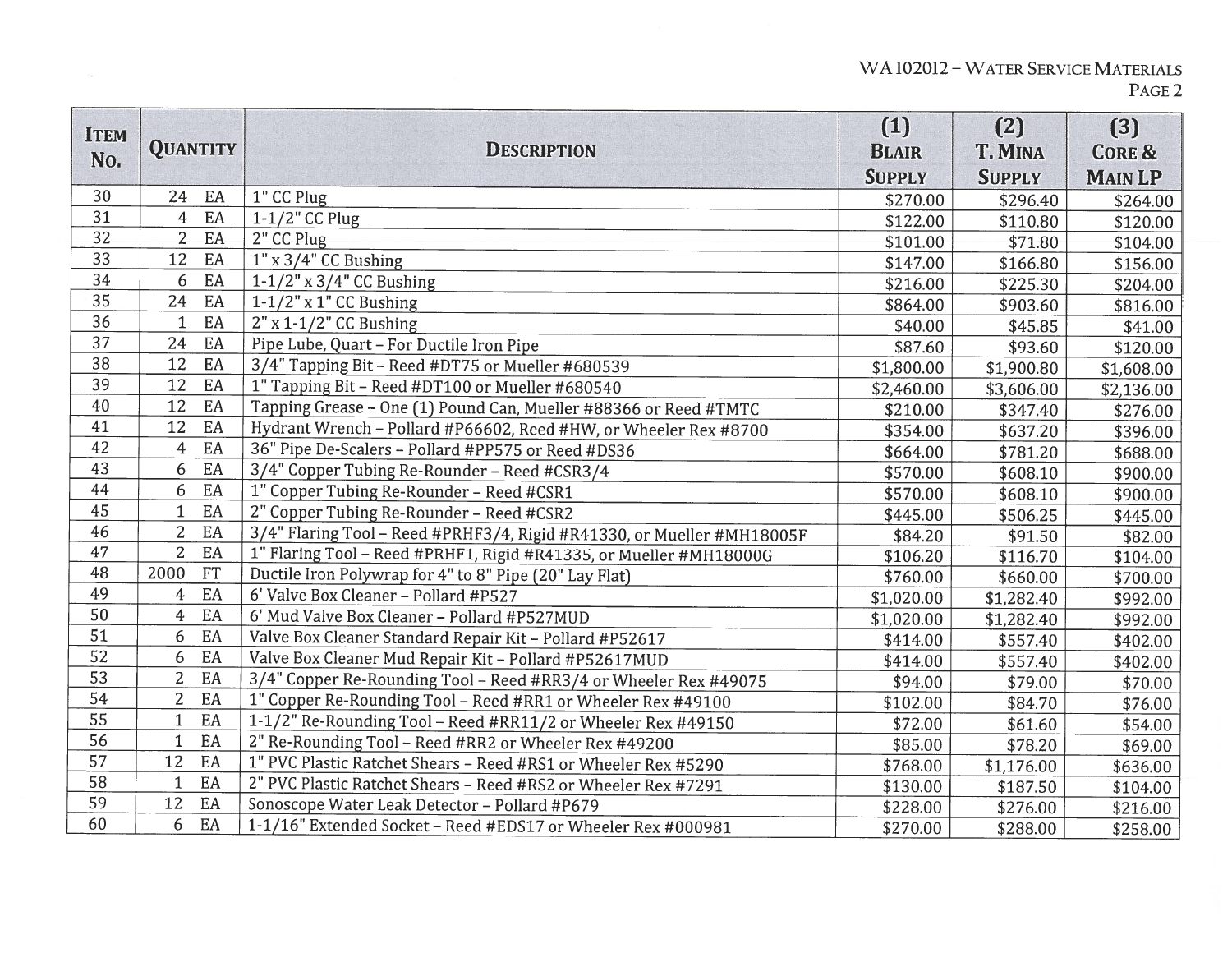| <b>ITEM</b><br>No. | <b>QUANTITY</b>                  | <b>DESCRIPTION</b>                                                     | (1)<br><b>BLAIR</b> | (2)<br><b>T. MINA</b> | (3)<br><b>CORE &amp;</b> |
|--------------------|----------------------------------|------------------------------------------------------------------------|---------------------|-----------------------|--------------------------|
|                    |                                  |                                                                        | <b>SUPPLY</b>       | <b>SUPPLY</b>         | <b>MAIN LP</b>           |
| 30                 | EA<br>24                         | 1" CC Plug                                                             | \$270.00            | \$296.40              | \$264.00                 |
| 31                 | EA<br>$\boldsymbol{4}$           | $1-1/2$ " CC Plug                                                      | \$122.00            | \$110.80              | \$120.00                 |
| 32                 | EA<br>$\overline{2}$             | 2" CC Plug                                                             | \$101.00            | \$71.80               | \$104.00                 |
| 33                 | EA<br>12                         | $1" \times 3/4"$ CC Bushing                                            | \$147.00            | \$166.80              | \$156.00                 |
| 34                 | EA<br>6                          | $1-1/2$ " x 3/4" CC Bushing                                            | \$216.00            | \$225.30              | \$204.00                 |
| 35                 | 24<br>$\boldsymbol{\mathrm{EA}}$ | $1-1/2$ " x 1" CC Bushing                                              | \$864.00            | \$903.60              | \$816.00                 |
| 36                 | EA<br>$\mathbf{1}$               | $2"$ x 1-1/2" CC Bushing                                               | \$40.00             | \$45.85               | \$41.00                  |
| 37                 | EA<br>24                         | Pipe Lube, Quart - For Ductile Iron Pipe                               | \$87.60             | \$93.60               | \$120.00                 |
| 38                 | EA<br>12                         | 3/4" Tapping Bit - Reed #DT75 or Mueller #680539                       | \$1,800.00          | \$1,900.80            | \$1,608.00               |
| 39                 | EA<br>12                         | 1" Tapping Bit - Reed #DT100 or Mueller #680540                        | \$2,460.00          | \$3,606.00            | \$2,136.00               |
| 40                 | 12<br>EA                         | Tapping Grease - One (1) Pound Can, Mueller #88366 or Reed #TMTC       | \$210.00            | \$347.40              | \$276.00                 |
| 41                 | 12<br>EA                         | Hydrant Wrench - Pollard #P66602, Reed #HW, or Wheeler Rex #8700       | \$354.00            | \$637.20              | \$396.00                 |
| 42                 | EA<br>$\overline{4}$             | 36" Pipe De-Scalers - Pollard #PP575 or Reed #DS36                     | \$664.00            | \$781.20              | \$688.00                 |
| 43                 | EA<br>6                          | 3/4" Copper Tubing Re-Rounder - Reed #CSR3/4                           | \$570.00            | \$608.10              | \$900.00                 |
| 44                 | EA<br>6                          | 1" Copper Tubing Re-Rounder - Reed #CSR1                               | \$570.00            | \$608.10              | \$900.00                 |
| 45                 | EA<br>$\mathbf{1}$               | 2" Copper Tubing Re-Rounder - Reed #CSR2                               | \$445.00            | \$506.25              | \$445.00                 |
| 46                 | EA<br>$\overline{2}$             | 3/4" Flaring Tool - Reed #PRHF3/4, Rigid #R41330, or Mueller #MH18005F | \$84.20             | \$91.50               | \$82.00                  |
| 47                 | $\overline{2}$<br>EA             | 1" Flaring Tool - Reed #PRHF1, Rigid #R41335, or Mueller #MH18000G     | \$106.20            | \$116.70              | \$104.00                 |
| 48                 | <b>FT</b><br>2000                | Ductile Iron Polywrap for 4" to 8" Pipe (20" Lay Flat)                 | \$760.00            | \$660.00              | \$700.00                 |
| 49                 | EA<br>4                          | 6' Valve Box Cleaner - Pollard #P527                                   | \$1,020.00          | \$1,282.40            | \$992.00                 |
| 50                 | EA<br>$\overline{4}$             | 6' Mud Valve Box Cleaner - Pollard #P527MUD                            | \$1,020.00          | \$1,282.40            | \$992.00                 |
| 51                 | EA<br>6                          | Valve Box Cleaner Standard Repair Kit - Pollard #P52617                | \$414.00            | \$557.40              | \$402.00                 |
| 52                 | EA<br>6                          | Valve Box Cleaner Mud Repair Kit - Pollard #P52617MUD                  | \$414.00            | \$557.40              | \$402.00                 |
| 53                 | $\overline{2}$<br>EA             | 3/4" Copper Re-Rounding Tool - Reed #RR3/4 or Wheeler Rex #49075       | \$94.00             | \$79.00               | \$70.00                  |
| 54                 | $\overline{2}$<br>EA             | 1" Copper Re-Rounding Tool - Reed #RR1 or Wheeler Rex #49100           | \$102.00            | \$84.70               | \$76.00                  |
| 55                 | $\mathbf{1}$<br>EA               | 1-1/2" Re-Rounding Tool - Reed #RR11/2 or Wheeler Rex #49150           | \$72.00             | \$61.60               | \$54.00                  |
| 56                 | $\mathbf{1}$<br>EA               | 2" Re-Rounding Tool - Reed #RR2 or Wheeler Rex #49200                  | \$85.00             | \$78.20               | \$69.00                  |
| 57                 | 12<br>EA                         | 1" PVC Plastic Ratchet Shears - Reed #RS1 or Wheeler Rex #5290         | \$768.00            | \$1,176.00            | \$636.00                 |
| 58                 | EA<br>$\mathbf{1}$               | 2" PVC Plastic Ratchet Shears - Reed #RS2 or Wheeler Rex #7291         | \$130.00            | \$187.50              | \$104.00                 |
| 59                 | 12<br>EA                         | Sonoscope Water Leak Detector - Pollard #P679                          | \$228.00            | \$276.00              | \$216.00                 |
| 60                 | 6<br>EA                          | 1-1/16" Extended Socket - Reed #EDS17 or Wheeler Rex #000981           | \$270.00            | \$288.00              | \$258.00                 |